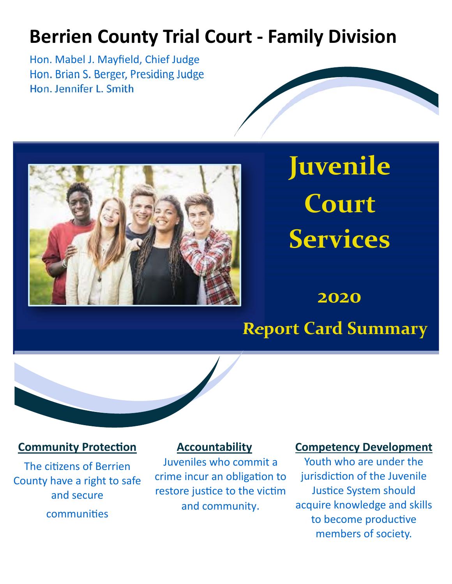## **Berrien County Trial Court ‐ Family Division**

Hon. Mabel J. Mayfield, Chief Judge Hon. Brian S. Berger, Presiding Judge Hon. Jennifer L. Smith



# **Juvenile Court Services**

**2020** 

## **Report Card Summary**



#### **Community Protection**

The citizens of Berrien County have a right to safe and secure communities

#### **Accountability**

Juveniles who commit a crime incur an obligation to restore justice to the victim and community.

#### **Competency Development**

Youth who are under the jurisdiction of the Juvenile **Justice System should** acquire knowledge and skills to become productive members of society.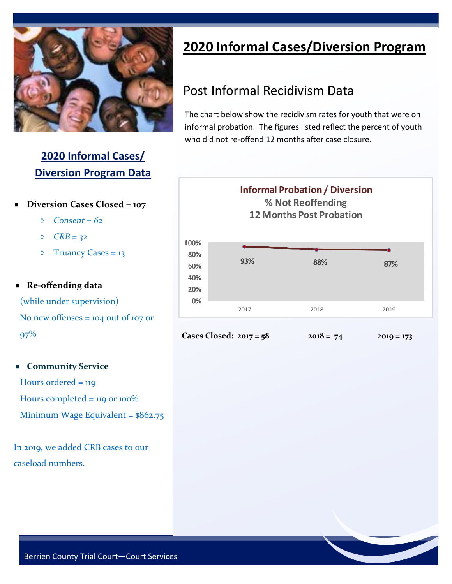

#### **2020 Informal Cases/ Diversion Program Data**

- **Diversion Cases Closed = 107** 
	- *Consent = 62*
	- *CRB = 32*
	- $\Diamond$  Truancy Cases = 13

#### **Re‐offending data**

 (while under supervision) No new offenses = 104 out of 107 or

97%

#### **Community Service**

Hours ordered = 119 Hours completed =  $119$  or  $100\%$ Minimum Wage Equivalent = \$862.75

In 2019, we added CRB cases to our caseload numbers.

## **2020 Informal Cases/Diversion Program**

## Post Informal Recidivism Data

The chart below show the recidivism rates for youth that were on informal probation. The figures listed reflect the percent of youth who did not re-offend 12 months after case closure.





**Cases Closed: 2017 = 58 2018 = 74 2019 = 173**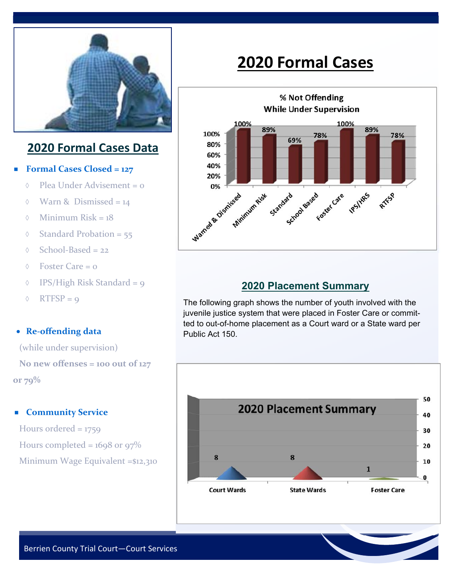

#### **2020 Formal Cases Data**

#### **Formal Cases Closed = 127**

- $\Diamond$  Plea Under Advisement = 0
- $\Diamond$  Warn & Dismissed = 14
- $\Diamond$  Minimum Risk = 18
- $\Diamond$  Standard Probation = 55
- $\Diamond$  School-Based = 22
- $\Diamond$  Foster Care = 0
- $\Diamond$  IPS/High Risk Standard = 9
- $\Diamond$  RTFSP = 9

#### **Re‐offending data**

 (while under supervision)  **No new offenses = 100 out of 127 or 79%** 

#### **Community Service**

Hours ordered = 1759 Hours completed =  $1698$  or  $97\%$ Minimum Wage Equivalent =\$12,310

## **2020 Formal Cases**



#### **2020 Placement Summary**

The following graph shows the number of youth involved with the juvenile justice system that were placed in Foster Care or committed to out-of-home placement as a Court ward or a State ward per Public Act 150.

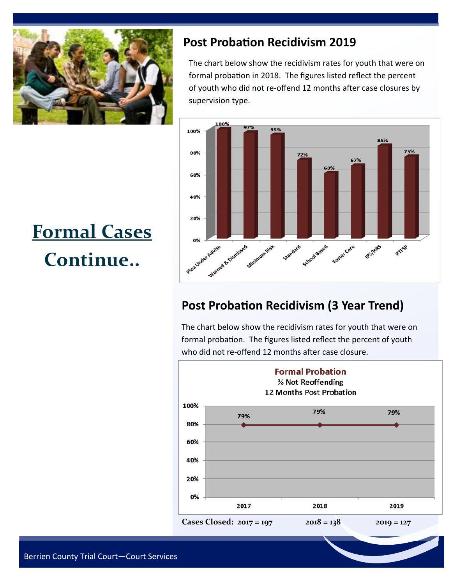

#### **Post Probation Recidivism 2019**

The chart below show the recidivism rates for youth that were on formal probation in 2018. The figures listed reflect the percent of youth who did not re-offend 12 months after case closures by supervision type.



#### **Post Probation Recidivism (3 Year Trend)**

The chart below show the recidivism rates for youth that were on formal probation. The figures listed reflect the percent of youth who did not re-offend 12 months after case closure.



## **Formal Cases Continue..**